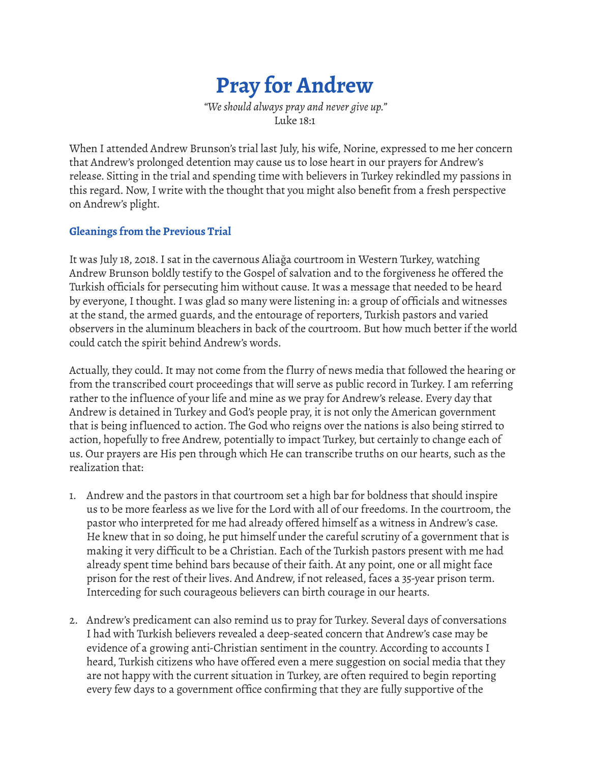

*"We should always pray and never give up."* Luke 18:1

When I attended Andrew Brunson's trial last July, his wife, Norine, expressed to me her concern that Andrew's prolonged detention may cause us to lose heart in our prayers for Andrew's release. Sitting in the trial and spending time with believers in Turkey rekindled my passions in this regard. Now, I write with the thought that you might also benefit from a fresh perspective on Andrew's plight.

#### **Gleanings from the Previous Trial**

It was July 18, 2018. I sat in the cavernous Aliağa courtroom in Western Turkey, watching Andrew Brunson boldly testify to the Gospel of salvation and to the forgiveness he offered the Turkish officials for persecuting him without cause. It was a message that needed to be heard by everyone, I thought. I was glad so many were listening in: a group of officials and witnesses at the stand, the armed guards, and the entourage of reporters, Turkish pastors and varied observers in the aluminum bleachers in back of the courtroom. But how much better if the world could catch the spirit behind Andrew's words.

Actually, they could. It may not come from the flurry of news media that followed the hearing or from the transcribed court proceedings that will serve as public record in Turkey. I am referring rather to the influence of your life and mine as we pray for Andrew's release. Every day that Andrew is detained in Turkey and God's people pray, it is not only the American government that is being inf luenced to action. The God who reigns over the nations is also being stirred to action, hopefully to free Andrew, potentially to impact Turkey, but certainly to change each of us. Our prayers are His pen through which He can transcribe truths on our hearts, such as the realization that:

- 1. Andrew and the pastors in that courtroom set a high bar for boldness that should inspire us to be more fearless as we live for the Lord with all of our freedoms. In the courtroom, the pastor who interpreted for me had already offered himself as a witness in Andrew's case. He knew that in so doing, he put himself under the careful scrutiny of a government that is making it very difficult to be a Christian. Each of the Turkish pastors present with me had already spent time behind bars because of their faith. At any point, one or all might face prison for the rest of their lives. And Andrew, if not released, faces a 35-year prison term. Interceding for such courageous believers can birth courage in our hearts.
- 2. Andrew's predicament can also remind us to pray for Turkey. Several days of conversations I had with Turkish believers revealed a deep-seated concern that Andrew's case may be evidence of a growing anti-Christian sentiment in the country. According to accounts I heard, Turkish citizens who have offered even a mere suggestion on social media that they are not happy with the current situation in Turkey, are often required to begin reporting every few days to a government office confirming that they are fully supportive of the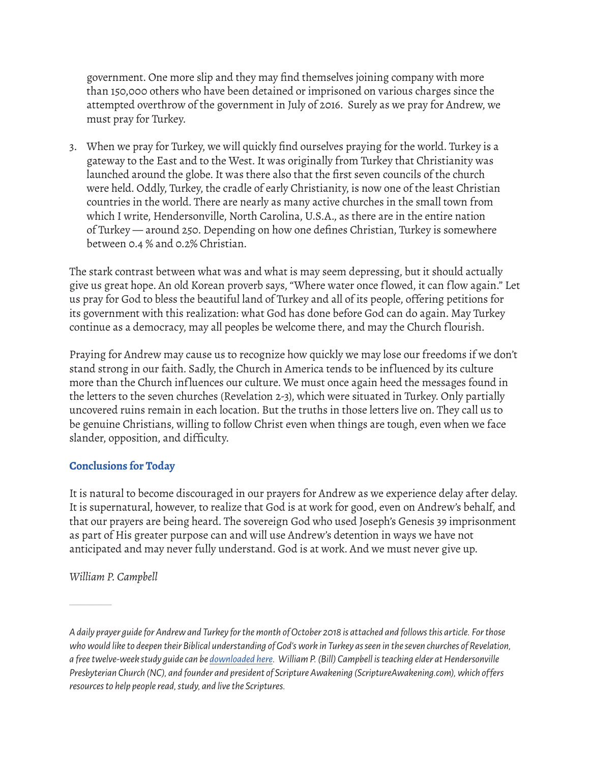government. One more slip and they may find themselves joining company with more than 150,000 others who have been detained or imprisoned on various charges since the attempted overthrow of the government in July of 2016. Surely as we pray for Andrew, we must pray for Turkey.

3. When we pray for Turkey, we will quickly find ourselves praying for the world. Turkey is a gateway to the East and to the West. It was originally from Turkey that Christianity was launched around the globe. It was there also that the first seven councils of the church were held. Oddly, Turkey, the cradle of early Christianity, is now one of the least Christian countries in the world. There are nearly as many active churches in the small town from which I write, Hendersonville, North Carolina, U.S.A., as there are in the entire nation of Turkey — around 250. Depending on how one defines Christian, Turkey is somewhere between 0.4 % and 0.2% Christian.

The stark contrast between what was and what is may seem depressing, but it should actually give us great hope. An old Korean proverb says, "Where water once flowed, it can flow again." Let us pray for God to bless the beautiful land of Turkey and all of its people, offering petitions for its government with this realization: what God has done before God can do again. May Turkey continue as a democracy, may all peoples be welcome there, and may the Church f lourish.

Praying for Andrew may cause us to recognize how quickly we may lose our freedoms if we don't stand strong in our faith. Sadly, the Church in America tends to be inf luenced by its culture more than the Church influences our culture. We must once again heed the messages found in the letters to the seven churches (Revelation 2-3), which were situated in Turkey. Only partially uncovered ruins remain in each location. But the truths in those letters live on. They call us to be genuine Christians, willing to follow Christ even when things are tough, even when we face slander, opposition, and difficulty.

#### **Conclusions for Today**

It is natural to become discouraged in our prayers for Andrew as we experience delay after delay. It is supernatural, however, to realize that God is at work for good, even on Andrew's behalf, and that our prayers are being heard. The sovereign God who used Joseph's Genesis 39 imprisonment as part of His greater purpose can and will use Andrew's detention in ways we have not anticipated and may never fully understand. God is at work. And we must never give up.

*William P. Campbell* 

————

*A daily prayer guide for Andrew and Turkey for the month of October 2018 is attached and follows this article. For those who would like to deepen their Biblical understanding of God's work in Turkey as seen in the seven churches of Revelation, a free twelve-week study guide can be [downloaded here](https://scriptureawakening.com/bnext/revelation-brunson/). William P. (Bill) Campbell is teaching elder at Hendersonville Presbyterian Church (NC), and founder and president of Scripture Awakening (ScriptureAwakening.com), which of fers resources to help people read, study, and live the Scriptures.*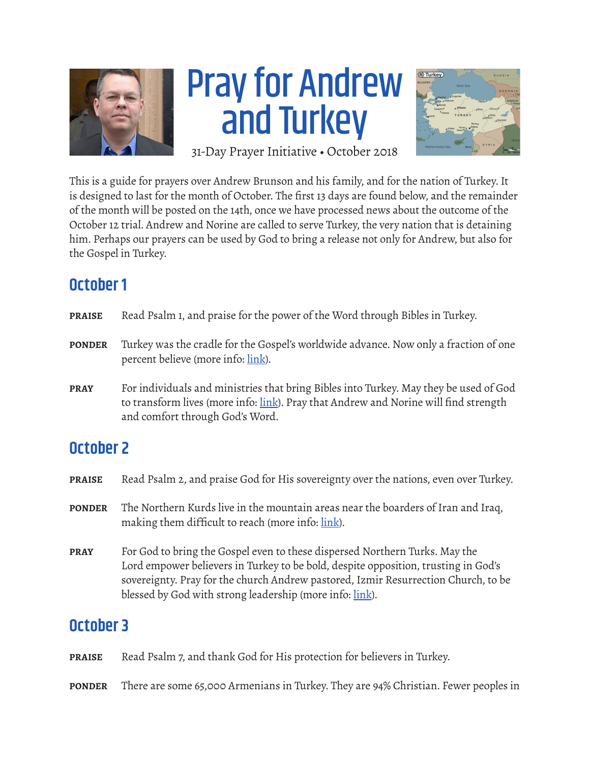

# Pray for Andrew and Turkey



31-Day Prayer Initiative • October 2018

This is a guide for prayers over Andrew Brunson and his family, and for the nation of Turkey. It is designed to last for the month of October. The first 13 days are found below, and the remainder of the month will be posted on the 14th, once we have processed news about the outcome of the October 12 trial. Andrew and Norine are called to serve Turkey, the very nation that is detaining him. Perhaps our prayers can be used by God to bring a release not only for Andrew, but also for the Gospel in Turkey.

# **October 1**

| <b>PRAISE</b> | Read Psalm 1, and praise for the power of the Word through Bibles in Turkey.                                                                                                                                     |
|---------------|------------------------------------------------------------------------------------------------------------------------------------------------------------------------------------------------------------------|
| <b>PONDER</b> | Turkey was the cradle for the Gospel's worldwide advance. Now only a fraction of one<br>percent believe (more info: link).                                                                                       |
| <b>PRAY</b>   | For individuals and ministries that bring Bibles into Turkey. May they be used of God<br>to transform lives (more info: link). Pray that Andrew and Norine will find strength<br>and comfort through God's Word. |

# **October 2**

- **PRAISE** Read Psalm 2, and praise God for His sovereignty over the nations, even over Turkey.
- **PONDER** The Northern Kurds live in the mountain areas near the boarders of Iran and Iraq, making them difficult to reach (more info: [link\)](https://joshuaproject.net/people_groups/12877/TU).
- **PRAY** For God to bring the Gospel even to these dispersed Northern Turks. May the Lord empower believers in Turkey to be bold, despite opposition, trusting in God's sovereignty. Pray for the church Andrew pastored, Izmir Resurrection Church, to be blessed by God with strong leadership (more info: [link\)](http://www.globalprayerdigest.org/issue/day/2008/11/01).

# **October 3**

**PRAISE** Read Psalm 7, and thank God for His protection for believers in Turkey.

**PONDER** There are some 65,000 Armenians in Turkey. They are 94% Christian. Fewer peoples in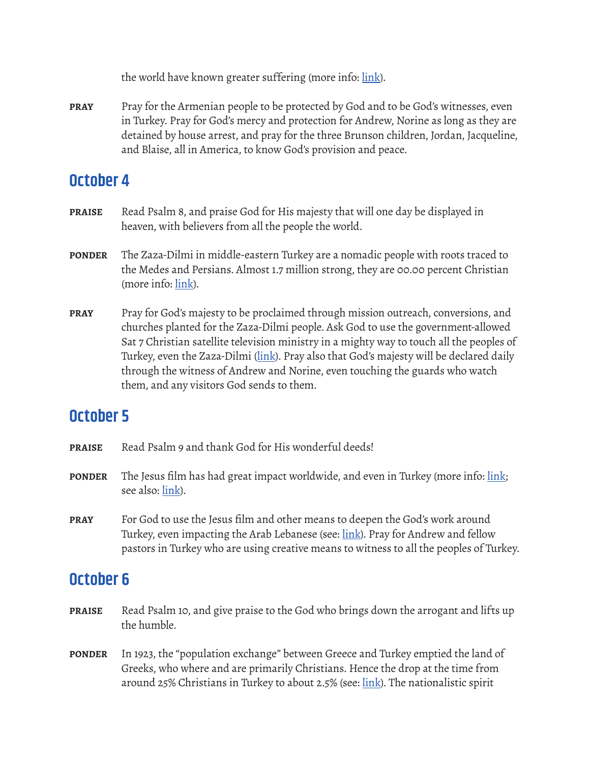the world have known greater suffering (more info: [link](https://joshuaproject.net/people_groups/10429/TU)).

**PRAY** Pray for the Armenian people to be protected by God and to be God's witnesses, even in Turkey. Pray for God's mercy and protection for Andrew, Norine as long as they are detained by house arrest, and pray for the three Brunson children, Jordan, Jacqueline, and Blaise, all in America, to know God's provision and peace.

#### **October 4**

- **PRAISE** Read Psalm 8, and praise God for His majesty that will one day be displayed in heaven, with believers from all the people the world.
- **PONDER** The Zaza-Dilmi in middle-eastern Turkey are a nomadic people with roots traced to the Medes and Persians. Almost 1.7 million strong, they are 00.00 percent Christian (more info: [link](https://joshuaproject.net/people_groups/11560/TU)).
- **PRAY** Pray for God's majesty to be proclaimed through mission outreach, conversions, and churches planted for the Zaza-Dilmi people. Ask God to use the government-allowed Sat 7 Christian satellite television ministry in a mighty way to touch all the peoples of Turkey, even the Zaza-Dilmi [\(link\)](https://www.mnnonline.org/news/sat-7-celebrates-one-year-in-turkey/). Pray also that God's majesty will be declared daily through the witness of Andrew and Norine, even touching the guards who watch them, and any visitors God sends to them.

# **October 5**

- **PRAISE** Read Psalm 9 and thank God for His wonderful deeds!
- **PONDER** The Jesus film has had great impact worldwide, and even in Turkey (more info: [link;](http://www.globalprayerdigest.org/issue/day/2015/11/04) see also: [link\)](http://blog.godreports.com/2013/07/middle-east-satellite-broadcasts-of-jesus-film-impact-viewers/).
- **PRAY** For God to use the Jesus film and other means to deepen the God's work around Turkey, even impacting the Arab Lebanese (see: <u>link</u>). Pray for Andrew and fellow pastors in Turkey who are using creative means to witness to all the peoples of Turkey.

- **PRAISE** Read Psalm 10, and give praise to the God who brings down the arrogant and lifts up the humble.
- **PONDER** In 1923, the "population exchange" between Greece and Turkey emptied the land of Greeks, who where and are primarily Christians. Hence the drop at the time from around 25% Christians in Turkey to about 2.5% (see: [link\)](https://en.wikipedia.org/wiki/Population_exchange_between_Greece_and_Turkey). The nationalistic spirit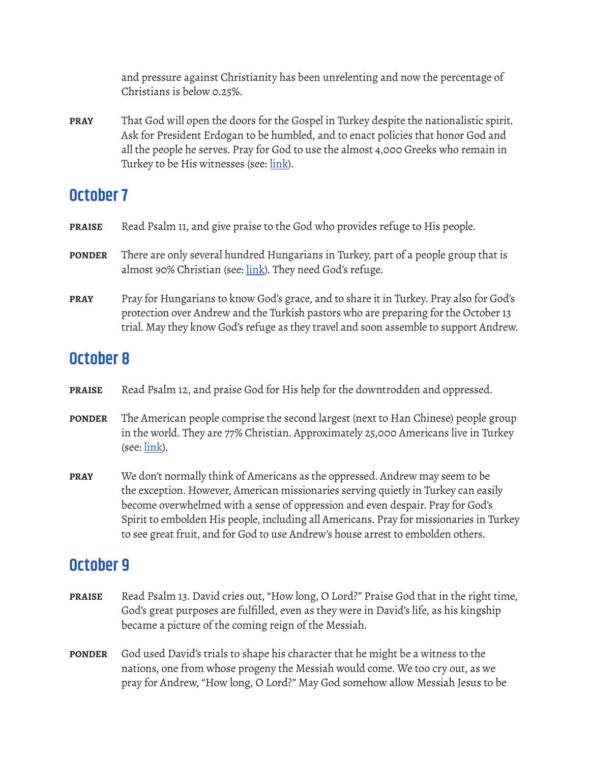and pressure against Christianity has been unrelenting and now the percentage of Christians is below 0.25%.

**PRAY** That God will open the doors for the Gospel in Turkey despite the nationalistic spirit. Ask for President Erdogan to be humbled, and to enact policies that honor God and all the people he serves. Pray for God to use the almost 4,000 Greeks who remain in Turkey to be His witnesses (see: [link\)](https://joshuaproject.net/people_groups/11942/TU).

## **October 7**

- **PRAISE** Read Psalm 11, and give praise to the God who provides refuge to His people.
- **PONDER** There are only several hundred Hungarians in Turkey, part of a people group that is almost 90% Christian (see: [link](https://joshuaproject.net/people_groups/12155/TU)). They need God's refuge.
- **PRAY** Pray for Hungarians to know God's grace, and to share it in Turkey. Pray also for God's protection over Andrew and the Turkish pastors who are preparing for the October 13 trial. May they know God's refuge as they travel and soon assemble to support Andrew.

### **October 8**

- **PRAISE** Read Psalm 12, and praise God for His help for the downtrodden and oppressed.
- **PONDER** The American people comprise the second largest (next to Han Chinese) people group in the world. They are 77% Christian. Approximately 25,000 Americans live in Turkey (see: [link](https://joshuaproject.net/people_groups/15741/TU)).
- **PRAY** We don't normally think of Americans as the oppressed. Andrew may seem to be the exception. However, American missionaries serving quietly in Turkey can easily become overwhelmed with a sense of oppression and even despair. Pray for God's Spirit to embolden His people, including all Americans. Pray for missionaries in Turkey to see great fruit, and for God to use Andrew's house arrest to embolden others.

- **PRAISE** Read Psalm 13. David cries out, "How long, O Lord?" Praise God that in the right time, God's great purposes are fulfilled, even as they were in David's life, as his kingship became a picture of the coming reign of the Messiah.
- **PONDER** God used David's trials to shape his character that he might be a witness to the nations, one from whose progeny the Messiah would come. We too cry out, as we pray for Andrew, "How long, O Lord?" May God somehow allow Messiah Jesus to be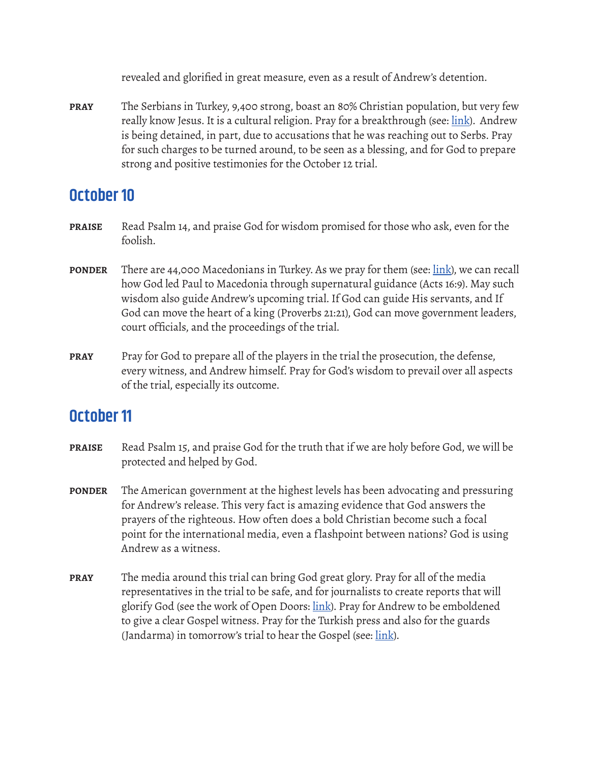revealed and glorified in great measure, even as a result of Andrew's detention.

**PRAY** The Serbians in Turkey, 9,400 strong, boast an 80% Christian population, but very few really know Jesus. It is a cultural religion. Pray for a breakthrough (see: [link](https://joshuaproject.net/people_groups/14864/TU)). Andrew is being detained, in part, due to accusations that he was reaching out to Serbs. Pray for such charges to be turned around, to be seen as a blessing, and for God to prepare strong and positive testimonies for the October 12 trial.

#### **October 10**

- **PRAISE** Read Psalm 14, and praise God for wisdom promised for those who ask, even for the foolish.
- **PONDER** There are 44,000 Macedonians in Turkey. As we pray for them (see: [link](https://joshuaproject.net/people_groups/13186/TU)), we can recall how God led Paul to Macedonia through supernatural guidance (Acts 16:9). May such wisdom also guide Andrew's upcoming trial. If God can guide His servants, and If God can move the heart of a king (Proverbs 21:21), God can move government leaders, court officials, and the proceedings of the trial.
- **PRAY** Pray for God to prepare all of the players in the trial the prosecution, the defense, every witness, and Andrew himself. Pray for God's wisdom to prevail over all aspects of the trial, especially its outcome.

- **PRAISE** Read Psalm 15, and praise God for the truth that if we are holy before God, we will be protected and helped by God.
- **PONDER** The American government at the highest levels has been advocating and pressuring for Andrew's release. This very fact is amazing evidence that God answers the prayers of the righteous. How often does a bold Christian become such a focal point for the international media, even a flashpoint between nations? God is using Andrew as a witness.
- **PRAY** The media around this trial can bring God great glory. Pray for all of the media representatives in the trial to be safe, and for journalists to create reports that will glorify God (see the work of Open Doors: [link](https://www.opendoorsusa.org/media-resources/)). Pray for Andrew to be emboldened to give a clear Gospel witness. Pray for the Turkish press and also for the guards (Jandarma) in tomorrow's trial to hear the Gospel (see: [link](https://www.globalsecurity.org/intell/world/turkey/jandarma.htm)).